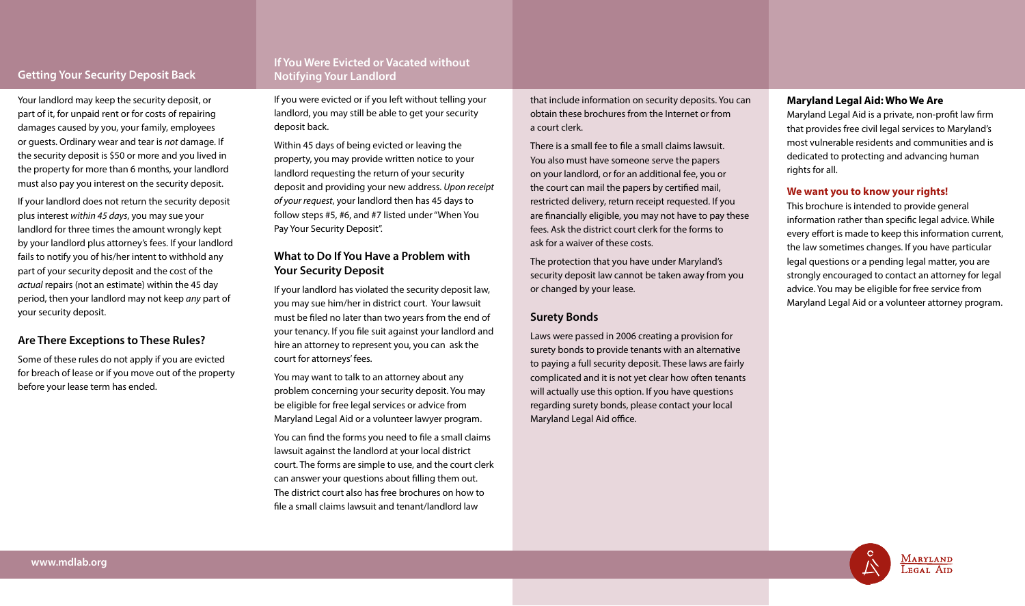# **Getting Your Security Deposit Back**

# **If You Were Evicted or Vacated without Notifying Your Landlord**

Your landlord may keep the security deposit, or part of it, for unpaid rent or for costs of repairing damages caused by you, your family, employees or guests. Ordinary wear and tear is *not* damage. If the security deposit is \$50 or more and you lived in the property for more than 6 months, your landlord must also pay you interest on the security deposit.

If your landlord does not return the security deposit plus interest *within 45 days*, you may sue your landlord for three times the amount wrongly kept by your landlord plus attorney's fees. If your landlord fails to notify you of his/her intent to withhold any part of your security deposit and the cost of the *actual* repairs (not an estimate) within the 45 day period, then your landlord may not keep *any* part of your security deposit.

### **Are There Exceptions to These Rules?**

Some of these rules do not apply if you are evicted for breach of lease or if you move out of the property before your lease term has ended.

If you were evicted or if you left without telling your landlord, you may still be able to get your security deposit back.

Within 45 days of being evicted or leaving the property, you may provide written notice to your landlord requesting the return of your security deposit and providing your new address. *Upon receipt of your request*, your landlord then has 45 days to follow steps #5, #6, and #7 listed under "When You Pay Your Security Deposit".

### **What to Do If You Have a Problem with Your Security Deposit**

If your landlord has violated the security deposit law, you may sue him/her in district court. Your lawsuit must be filed no later than two years from the end of your tenancy. If you file suit against your landlord and hire an attorney to represent you, you can ask the court for attorneys' fees.

You may want to talk to an attorney about any problem concerning your security deposit. You may be eligible for free legal services or advice from Maryland Legal Aid or a volunteer lawyer program.

You can find the forms you need to file a small claims lawsuit against the landlord at your local district court. The forms are simple to use, and the court clerk can answer your questions about filling them out. The district court also has free brochures on how to file a small claims lawsuit and tenant/landlord law

that include information on security deposits. You can obtain these brochures from the Internet or from a court clerk.

There is a small fee to file a small claims lawsuit. You also must have someone serve the papers on your landlord, or for an additional fee, you or the court can mail the papers by certified mail, restricted delivery, return receipt requested. If you are financially eligible, you may not have to pay these fees. Ask the district court clerk for the forms to ask for a waiver of these costs.

The protection that you have under Maryland's security deposit law cannot be taken away from you or changed by your lease.

#### **Surety Bonds**

Laws were passed in 2006 creating a provision for surety bonds to provide tenants with an alternative to paying a full security deposit. These laws are fairly complicated and it is not yet clear how often tenants will actually use this option. If you have questions regarding surety bonds, please contact your local Maryland Legal Aid office.

#### **Maryland Legal Aid: Who We Are**

Maryland Legal Aid is a private, non-profit law firm that provides free civil legal services to Maryland's most vulnerable residents and communities and is dedicated to protecting and advancing human rights for all.

#### **We want you to know your rights!**

This brochure is intended to provide general information rather than specific legal advice. While every effort is made to keep this information current, the law sometimes changes. If you have particular legal questions or a pending legal matter, you are strongly encouraged to contact an attorney for legal advice. You may be eligible for free service from Maryland Legal Aid or a volunteer attorney program.